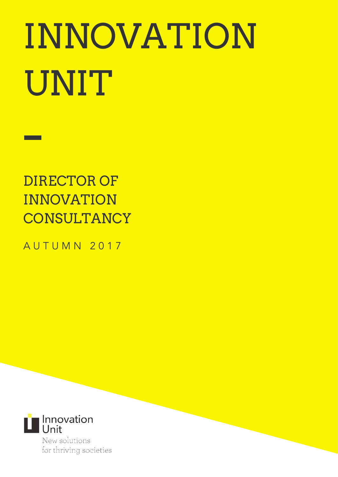# INNOVATION UNIT

DIRECTOR OF INNOVATION **CONSULTANCY** 

A U T U M N 2 0 1 7



New solutions for thriving societies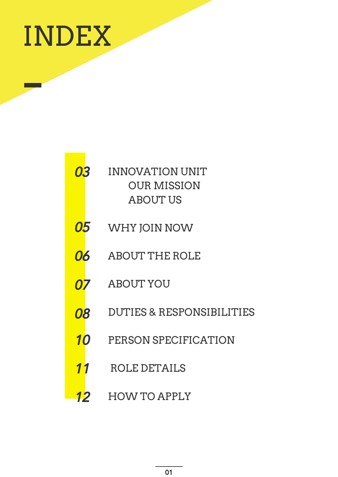

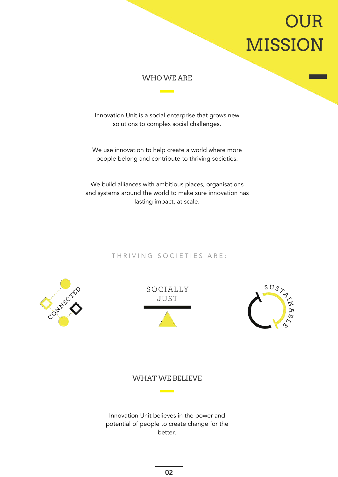# OUR MISSION

#### WHO WE ARE

Innovation Unit is a social enterprise that grows new solutions to complex social challenges.

We use innovation to help create a world where more people belong and contribute to thriving societies.

We build alliances with ambitious places, organisations and systems around the world to make sure innovation has lasting impact, at scale.

#### THRIVING SOCIETIES ARE:







### WHAT WE BELIEVE

<u> London a</u>

Innovation Unit believes in the power and potential of people to create change for the better.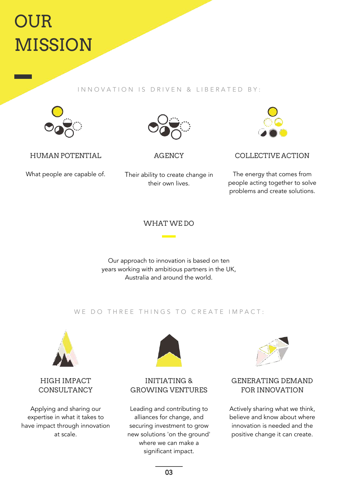# OUR MISSION

#### IN N O V A T I O N I S D R I V E N & LIBERATED BY :



HUMAN POTENTIAL

What people are capable of.



**AGENCY** 

Their ability to create change in their own lives.



COLLECTIVE ACTION

The energy that comes from people acting together to solve problems and create solutions.

### WHAT WE DO

Our approach to innovation is based on ten years working with ambitious partners in the UK, Australia and around the world.

#### WE DO THREE THINGS TO CREATE IMPACT:



### HIGH IMPACT **CONSULTANCY**

Applying and sharing our expertise in what it takes to have impact through innovation at scale.



### INITIATING & GROWING VENTURES

Leading and contributing to alliances for change, and securing investment to grow new solutions 'on the ground' where we can make a significant impact.



## GENERATING DEMAND FOR INNOVATION

Actively sharing what we think, believe and know about where innovation is needed and the positive change it can create.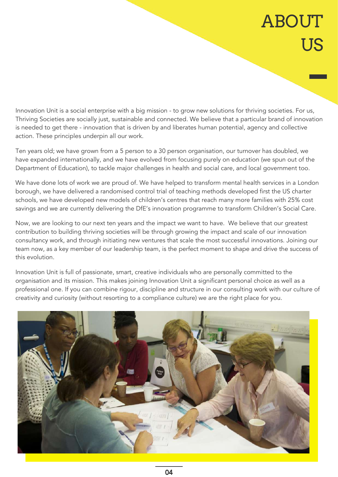# **ABOUT** US

Innovation Unit is a social enterprise with a big mission - to grow new solutions for thriving societies. For us, Thriving Societies are socially just, sustainable and connected. We believe that a particular brand of innovation is needed to get there - innovation that is driven by and liberates human potential, agency and collective action. These principles underpin all our work.

Ten years old; we have grown from a 5 person to a 30 person organisation, our turnover has doubled, we have expanded internationally, and we have evolved from focusing purely on education (we spun out of the Department of Education), to tackle major challenges in health and social care, and local government too.

We have done lots of work we are proud of. We have helped to transform mental health services in a London borough, we have delivered a randomised control trial of teaching methods developed first the US charter schools, we have developed new models of children's centres that reach many more families with 25% cost savings and we are currently delivering the DfE's innovation programme to transform Children's Social Care.

Now, we are looking to our next ten years and the impact we want to have. We believe that our greatest contribution to building thriving societies will be through growing the impact and scale of our innovation consultancy work, and through initiating new ventures that scale the most successful innovations. Joining our team now, as a key member of our leadership team, is the perfect moment to shape and drive the success of this evolution.

Innovation Unit is full of passionate, smart, creative individuals who are personally committed to the organisation and its mission. This makes joining Innovation Unit a significant personal choice as well as a professional one. If you can combine rigour, discipline and structure in our consulting work with our culture of creativity and curiosity (without resorting to a compliance culture) we are the right place for you.

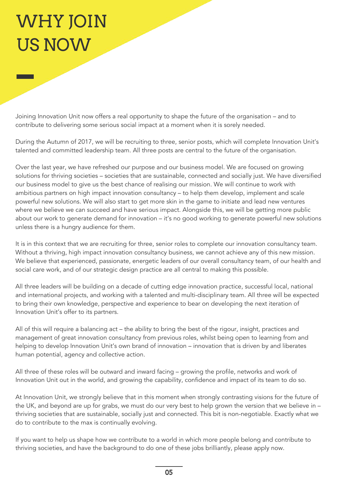# WHY JOIN US NOW

Joining Innovation Unit now offers a real opportunity to shape the future of the organisation – and to contribute to delivering some serious social impact at a moment when it is sorely needed.

During the Autumn of 2017, we will be recruiting to three, senior posts, which will complete Innovation Unit's talented and committed leadership team. All three posts are central to the future of the organisation.

Over the last year, we have refreshed our purpose and our business model. We are focused on growing solutions for thriving societies – societies that are sustainable, connected and socially just. We have diversified our business model to give us the best chance of realising our mission. We will continue to work with ambitious partners on high impact innovation consultancy – to help them develop, implement and scale powerful new solutions. We will also start to get more skin in the game to initiate and lead new ventures where we believe we can succeed and have serious impact. Alongside this, we will be getting more public about our work to generate demand for innovation – it's no good working to generate powerful new solutions unless there is a hungry audience for them.

It is in this context that we are recruiting for three, senior roles to complete our innovation consultancy team. Without a thriving, high impact innovation consultancy business, we cannot achieve any of this new mission. We believe that experienced, passionate, energetic leaders of our overall consultancy team, of our health and social care work, and of our strategic design practice are all central to making this possible.

All three leaders will be building on a decade of cutting edge innovation practice, successful local, national and international projects, and working with a talented and multi-disciplinary team. All three will be expected to bring their own knowledge, perspective and experience to bear on developing the next iteration of Innovation Unit's offer to its partners.

All of this will require a balancing act – the ability to bring the best of the rigour, insight, practices and management of great innovation consultancy from previous roles, whilst being open to learning from and helping to develop Innovation Unit's own brand of innovation – innovation that is driven by and liberates human potential, agency and collective action.

All three of these roles will be outward and inward facing – growing the profile, networks and work of Innovation Unit out in the world, and growing the capability, confidence and impact of its team to do so.

At Innovation Unit, we strongly believe that in this moment when strongly contrasting visions for the future of the UK, and beyond are up for grabs, we must do our very best to help grown the version that we believe in – thriving societies that are sustainable, socially just and connected. This bit is non-negotiable. Exactly what we do to contribute to the max is continually evolving.

If you want to help us shape how we contribute to a world in which more people belong and contribute to thriving societies, and have the background to do one of these jobs brilliantly, please apply now.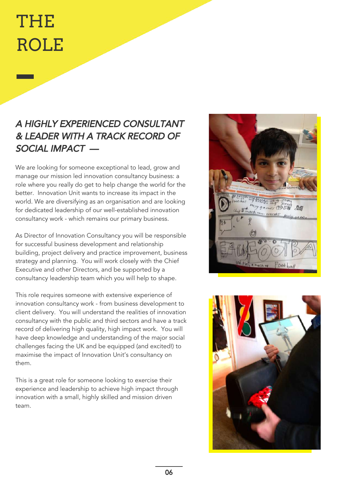# THE ROLE

# A HIGHLY EXPERIENCED CONSULTANT & LEADER WITH A TRACK RECORD OF SOCIAL IMPACT —

We are looking for someone exceptional to lead, grow and manage our mission led innovation consultancy business: a role where you really do get to help change the world for the better. Innovation Unit wants to increase its impact in the world. We are diversifying as an organisation and are looking for dedicated leadership of our well-established innovation consultancy work - which remains our primary business.

As Director of Innovation Consultancy you will be responsible for successful business development and relationship building, project delivery and practice improvement, business strategy and planning. You will work closely with the Chief Executive and other Directors, and be supported by a consultancy leadership team which you will help to shape.

This role requires someone with extensive experience of innovation consultancy work - from business development to client delivery. You will understand the realities of innovation consultancy with the public and third sectors and have a track record of delivering high quality, high impact work. You will have deep knowledge and understanding of the major social challenges facing the UK and be equipped (and excited!) to maximise the impact of Innovation Unit's consultancy on them.

This is a great role for someone looking to exercise their experience and leadership to achieve high impact through innovation with a small, highly skilled and mission driven team.



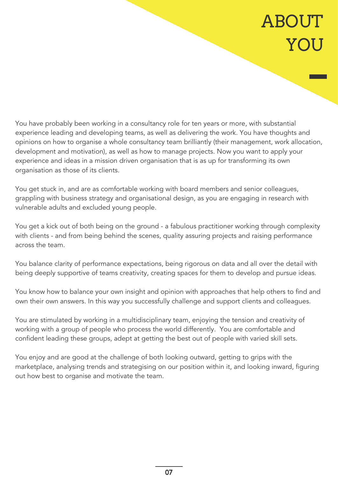# **ABOUT** YOU

You have probably been working in a consultancy role for ten years or more, with substantial experience leading and developing teams, as well as delivering the work. You have thoughts and opinions on how to organise a whole consultancy team brilliantly (their management, work allocation, development and motivation), as well as how to manage projects. Now you want to apply your experience and ideas in a mission driven organisation that is as up for transforming its own organisation as those of its clients.

You get stuck in, and are as comfortable working with board members and senior colleagues, grappling with business strategy and organisational design, as you are engaging in research with vulnerable adults and excluded young people.

You get a kick out of both being on the ground - a fabulous practitioner working through complexity with clients - and from being behind the scenes, quality assuring projects and raising performance across the team.

You balance clarity of performance expectations, being rigorous on data and all over the detail with being deeply supportive of teams creativity, creating spaces for them to develop and pursue ideas.

You know how to balance your own insight and opinion with approaches that help others to find and own their own answers. In this way you successfully challenge and support clients and colleagues.

You are stimulated by working in a multidisciplinary team, enjoying the tension and creativity of working with a group of people who process the world differently. You are comfortable and confident leading these groups, adept at getting the best out of people with varied skill sets.

You enjoy and are good at the challenge of both looking outward, getting to grips with the marketplace, analysing trends and strategising on our position within it, and looking inward, figuring out how best to organise and motivate the team.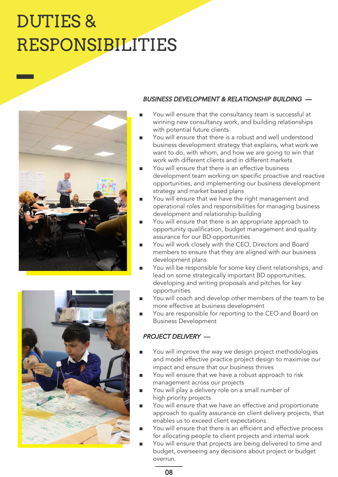# DUTIES & RESPONSIBILITIES





#### BUSINESS DEVELOPMENT & RELATIONSHIP BUILDING —

- You will ensure that the consultancy team is successful at winning new consultancy work, and building relationships with potential future clients
- You will ensure that there is a robust and well understood business development strategy that explains, what work we want to do, with whom, and how we are going to win that work with different clients and in different markets
- You will ensure that there is an effective business development team working on specific proactive and reactive opportunities, and implementing our business development strategy and market based plans
- You will ensure that we have the right management and operational roles and responsibilities for managing business development and relationship building
- You will ensure that there is an appropriate approach to opportunity qualification, budget management and quality assurance for our BD opportunities
- You will work closely with the CEO, Directors and Board members to ensure that they are aligned with our business development plans
- You will be responsible for some key client relationships, and lead on some strategically important BD opportunities, developing and writing proposals and pitches for key opportunities
- You will coach and develop other members of the team to be more effective at business development
- You are responsible for reporting to the CEO and Board on Business Development

### PROJECT DELIVERY —

- You will improve the way we design project methodologies and model effective practice project design to maximise our impact and ensure that our business thrives
- You will ensure that we have a robust approach to risk management across our projects
- You will play a delivery role on a small number of high priority projects
- You will ensure that we have an effective and proportionate approach to quality assurance on client delivery projects, that enables us to exceed client expectations
- You will ensure that there is an efficient and effective process for allocating people to client projects and internal work
- You will ensure that projects are being delivered to time and budget, overseeing any decisions about project or budget overrun.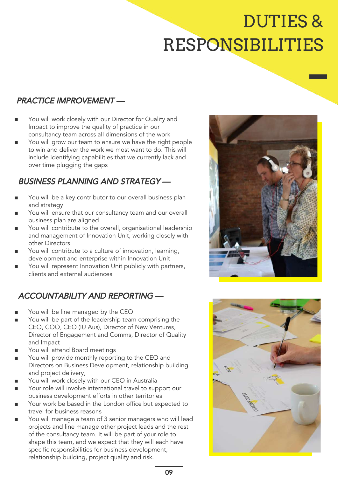# DUTIES & RESPONSIBILITIES

# PRACTICE IMPROVEMENT —

- You will work closely with our Director for Quality and Impact to improve the quality of practice in our consultancy team across all dimensions of the work
- You will grow our team to ensure we have the right people to win and deliver the work we most want to do. This will include identifying capabilities that we currently lack and over time plugging the gaps

# BUSINESS PLANNING AND STRATEGY —

- You will be a key contributor to our overall business plan and strategy
- You will ensure that our consultancy team and our overall business plan are aligned
- You will contribute to the overall, organisational leadership and management of Innovation Unit, working closely with other Directors
- You will contribute to a culture of innovation, learning, development and enterprise within Innovation Unit
- You will represent Innovation Unit publicly with partners, clients and external audiences

# ACCOUNTABILITY AND REPORTING —

- You will be line managed by the CEO
- You will be part of the leadership team comprising the CEO, COO, CEO (IU Aus), Director of New Ventures, Director of Engagement and Comms, Director of Quality and Impact
- You will attend Board meetings
- You will provide monthly reporting to the CEO and Directors on Business Development, relationship building and project delivery,
- You will work closely with our CEO in Australia
- Your role will involve international travel to support our business development efforts in other territories
- Your work be based in the London office but expected to travel for business reasons
- You will manage a team of 3 senior managers who will lead projects and line manage other project leads and the rest of the consultancy team. It will be part of your role to shape this team, and we expect that they will each have specific responsibilities for business development, relationship building, project quality and risk.



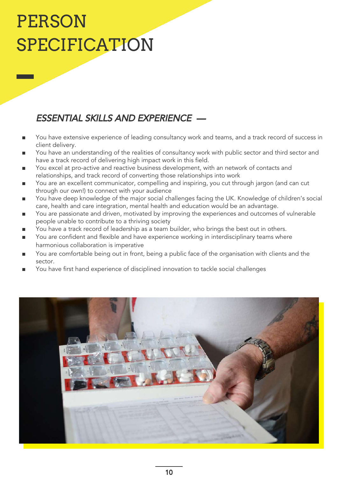# PERSON SPECIFICATION

# ESSENTIAL SKILLS AND EXPERIENCE —

- You have extensive experience of leading consultancy work and teams, and a track record of success in client delivery.
- You have an understanding of the realities of consultancy work with public sector and third sector and have a track record of delivering high impact work in this field.
- You excel at pro-active and reactive business development, with an network of contacts and relationships, and track record of converting those relationships into work
- You are an excellent communicator, compelling and inspiring, you cut through jargon (and can cut through our own!) to connect with your audience
- You have deep knowledge of the major social challenges facing the UK. Knowledge of children's social care, health and care integration, mental health and education would be an advantage.
- You are passionate and driven, motivated by improving the experiences and outcomes of vulnerable people unable to contribute to a thriving society
- You have a track record of leadership as a team builder, who brings the best out in others.
- You are confident and flexible and have experience working in interdisciplinary teams where harmonious collaboration is imperative
- You are comfortable being out in front, being a public face of the organisation with clients and the sector.
- You have first hand experience of disciplined innovation to tackle social challenges

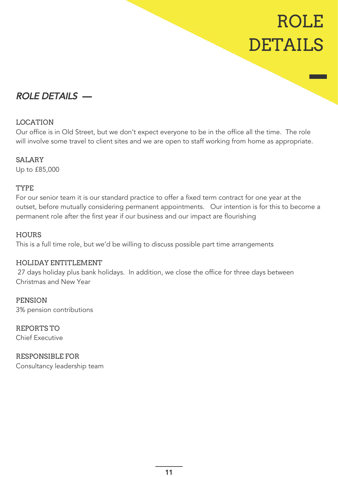# ROLE DETAILS

# ROLE DETAILS —

### LOCATION

Our office is in Old Street, but we don't expect everyone to be in the office all the time. The role will involve some travel to client sites and we are open to staff working from home as appropriate.

### SALARY

Up to £85,000

### TYPE

For our senior team it is our standard practice to offer a fixed term contract for one year at the outset, before mutually considering permanent appointments. Our intention is for this to become a permanent role after the first year if our business and our impact are flourishing

### **HOURS**

This is a full time role, but we'd be willing to discuss possible part time arrangements

### HOLIDAY ENTITLEMENT

 27 days holiday plus bank holidays. In addition, we close the office for three days between Christmas and New Year

PENSION 3% pension contributions

REPORTS TO Chief Executive

RESPONSIBLE FOR Consultancy leadership team